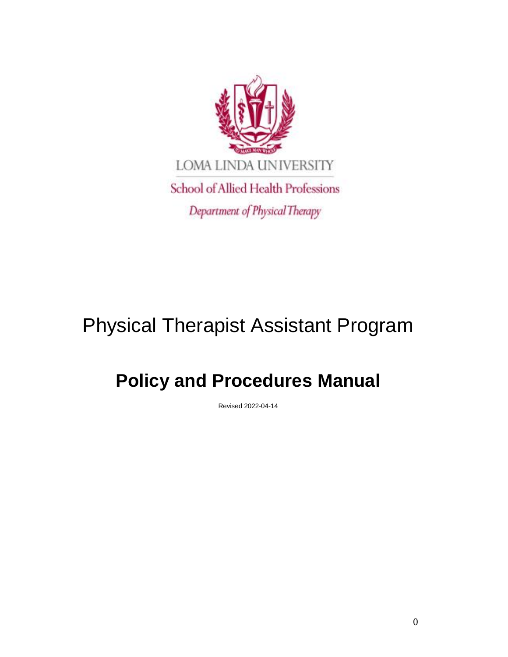

# Physical Therapist Assistant Program

## **Policy and Procedures Manual**

Revised 2022-04-14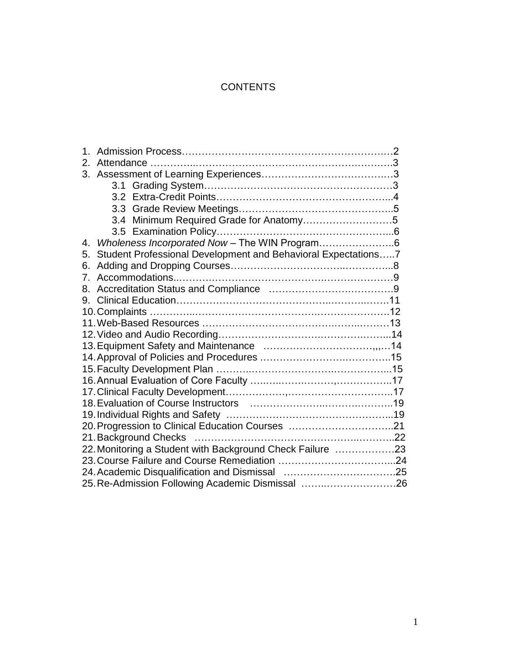## **CONTENTS**

| $2_{-}$                                                             |  |
|---------------------------------------------------------------------|--|
|                                                                     |  |
|                                                                     |  |
|                                                                     |  |
|                                                                     |  |
| 3.4 Minimum Required Grade for Anatomy5                             |  |
|                                                                     |  |
| Wholeness Incorporated Now - The WIN Program6<br>$4_{\cdot}$        |  |
| Student Professional Development and Behavioral Expectations7<br>5. |  |
| 6.                                                                  |  |
| 7 <sub>1</sub>                                                      |  |
| 8.                                                                  |  |
| 9.                                                                  |  |
|                                                                     |  |
|                                                                     |  |
|                                                                     |  |
|                                                                     |  |
|                                                                     |  |
|                                                                     |  |
|                                                                     |  |
|                                                                     |  |
|                                                                     |  |
|                                                                     |  |
|                                                                     |  |
|                                                                     |  |
| 22. Monitoring a Student with Background Check Failure 23           |  |
|                                                                     |  |
|                                                                     |  |
| 25. Re-Admission Following Academic Dismissal 26                    |  |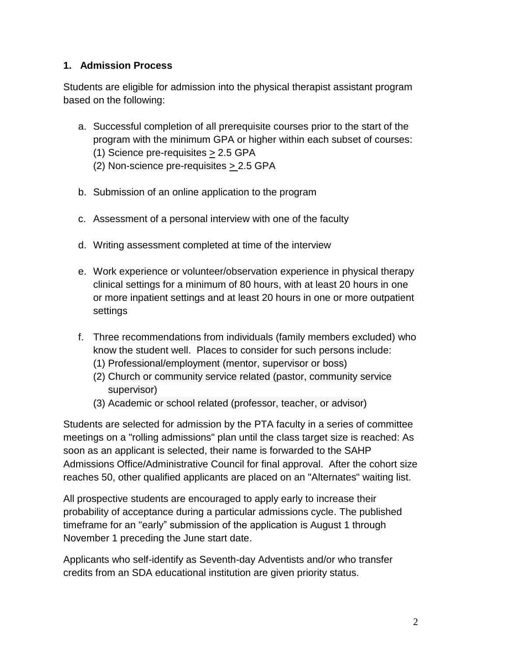## **1. Admission Process**

Students are eligible for admission into the physical therapist assistant program based on the following:

- a. Successful completion of all prerequisite courses prior to the start of the program with the minimum GPA or higher within each subset of courses: (1) Science pre-requisites > 2.5 GPA
	- (2) Non-science pre-requisites > 2.5 GPA
- b. Submission of an online application to the program
- c. Assessment of a personal interview with one of the faculty
- d. Writing assessment completed at time of the interview
- e. Work experience or volunteer/observation experience in physical therapy clinical settings for a minimum of 80 hours, with at least 20 hours in one or more inpatient settings and at least 20 hours in one or more outpatient settings
- f. Three recommendations from individuals (family members excluded) who know the student well. Places to consider for such persons include:
	- (1) Professional/employment (mentor, supervisor or boss)
	- (2) Church or community service related (pastor, community service supervisor)
	- (3) Academic or school related (professor, teacher, or advisor)

Students are selected for admission by the PTA faculty in a series of committee meetings on a "rolling admissions" plan until the class target size is reached: As soon as an applicant is selected, their name is forwarded to the SAHP Admissions Office/Administrative Council for final approval. After the cohort size reaches 50, other qualified applicants are placed on an "Alternates" waiting list.

All prospective students are encouraged to apply early to increase their probability of acceptance during a particular admissions cycle. The published timeframe for an "early" submission of the application is August 1 through November 1 preceding the June start date.

Applicants who self-identify as Seventh-day Adventists and/or who transfer credits from an SDA educational institution are given priority status.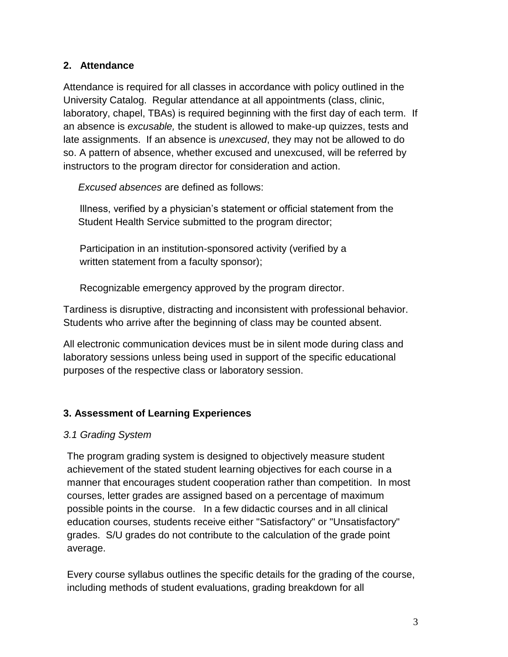## **2. Attendance**

Attendance is required for all classes in accordance with policy outlined in the University Catalog. Regular attendance at all appointments (class, clinic, laboratory, chapel, TBAs) is required beginning with the first day of each term. If an absence is *excusable,* the student is allowed to make-up quizzes, tests and late assignments. If an absence is *unexcused*, they may not be allowed to do so. A pattern of absence, whether excused and unexcused, will be referred by instructors to the program director for consideration and action.

*Excused absences* are defined as follows:

Illness, verified by a physician's statement or official statement from the Student Health Service submitted to the program director;

Participation in an institution-sponsored activity (verified by a written statement from a faculty sponsor);

Recognizable emergency approved by the program director.

Tardiness is disruptive, distracting and inconsistent with professional behavior. Students who arrive after the beginning of class may be counted absent.

All electronic communication devices must be in silent mode during class and laboratory sessions unless being used in support of the specific educational purposes of the respective class or laboratory session.

## **3. Assessment of Learning Experiences**

#### *3.1 Grading System*

The program grading system is designed to objectively measure student achievement of the stated student learning objectives for each course in a manner that encourages student cooperation rather than competition. In most courses, letter grades are assigned based on a percentage of maximum possible points in the course. In a few didactic courses and in all clinical education courses, students receive either "Satisfactory" or "Unsatisfactory" grades. S/U grades do not contribute to the calculation of the grade point average.

Every course syllabus outlines the specific details for the grading of the course, including methods of student evaluations, grading breakdown for all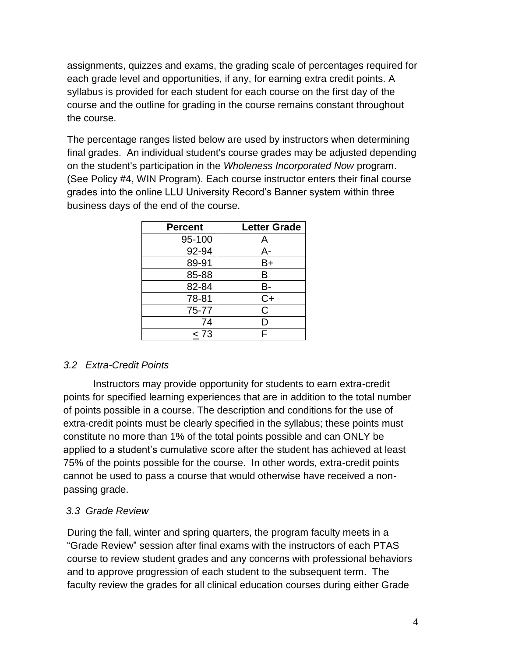assignments, quizzes and exams, the grading scale of percentages required for each grade level and opportunities, if any, for earning extra credit points. A syllabus is provided for each student for each course on the first day of the course and the outline for grading in the course remains constant throughout the course.

The percentage ranges listed below are used by instructors when determining final grades. An individual student's course grades may be adjusted depending on the student's participation in the *Wholeness Incorporated Now* program. (See Policy #4, WIN Program). Each course instructor enters their final course grades into the online LLU University Record's Banner system within three business days of the end of the course.

| <b>Percent</b> | <b>Letter Grade</b> |
|----------------|---------------------|
| 95-100         | Α                   |
| 92-94          | A-                  |
| 89-91          | B+                  |
| 85-88          | B                   |
| 82-84          | В-                  |
| 78-81          | $C+$                |
| 75-77          | С                   |
| 74             | D                   |
| < 73           | F                   |

#### *3.2 Extra-Credit Points*

Instructors may provide opportunity for students to earn extra-credit points for specified learning experiences that are in addition to the total number of points possible in a course. The description and conditions for the use of extra-credit points must be clearly specified in the syllabus; these points must constitute no more than 1% of the total points possible and can ONLY be applied to a student's cumulative score after the student has achieved at least 75% of the points possible for the course. In other words, extra-credit points cannot be used to pass a course that would otherwise have received a nonpassing grade.

## *3.3 Grade Review*

During the fall, winter and spring quarters, the program faculty meets in a "Grade Review" session after final exams with the instructors of each PTAS course to review student grades and any concerns with professional behaviors and to approve progression of each student to the subsequent term. The faculty review the grades for all clinical education courses during either Grade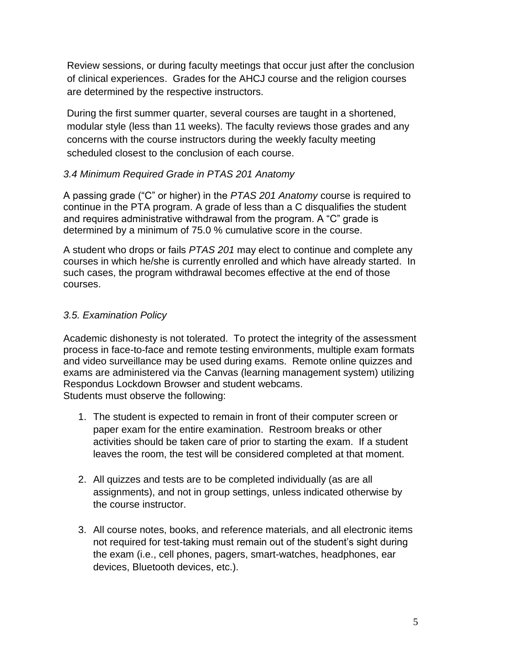Review sessions, or during faculty meetings that occur just after the conclusion of clinical experiences. Grades for the AHCJ course and the religion courses are determined by the respective instructors.

During the first summer quarter, several courses are taught in a shortened, modular style (less than 11 weeks). The faculty reviews those grades and any concerns with the course instructors during the weekly faculty meeting scheduled closest to the conclusion of each course.

#### *3.4 Minimum Required Grade in PTAS 201 Anatomy*

A passing grade ("C" or higher) in the *PTAS 201 Anatomy* course is required to continue in the PTA program. A grade of less than a C disqualifies the student and requires administrative withdrawal from the program. A "C" grade is determined by a minimum of 75.0 % cumulative score in the course.

A student who drops or fails *PTAS 201* may elect to continue and complete any courses in which he/she is currently enrolled and which have already started. In such cases, the program withdrawal becomes effective at the end of those courses.

#### *3.5. Examination Policy*

Academic dishonesty is not tolerated. To protect the integrity of the assessment process in face-to-face and remote testing environments, multiple exam formats and video surveillance may be used during exams. Remote online quizzes and exams are administered via the Canvas (learning management system) utilizing Respondus Lockdown Browser and student webcams. Students must observe the following:

- 1. The student is expected to remain in front of their computer screen or paper exam for the entire examination. Restroom breaks or other activities should be taken care of prior to starting the exam. If a student leaves the room, the test will be considered completed at that moment.
- 2. All quizzes and tests are to be completed individually (as are all assignments), and not in group settings, unless indicated otherwise by the course instructor.
- 3. All course notes, books, and reference materials, and all electronic items not required for test-taking must remain out of the student's sight during the exam (i.e., cell phones, pagers, smart-watches, headphones, ear devices, Bluetooth devices, etc.).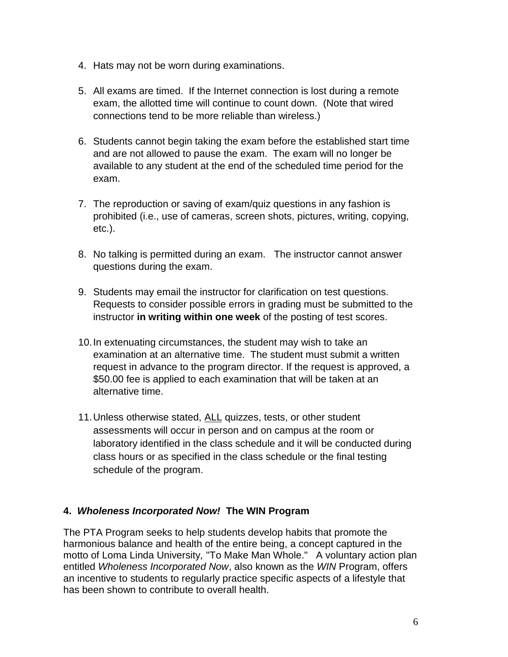- 4. Hats may not be worn during examinations.
- 5. All exams are timed. If the Internet connection is lost during a remote exam, the allotted time will continue to count down. (Note that wired connections tend to be more reliable than wireless.)
- 6. Students cannot begin taking the exam before the established start time and are not allowed to pause the exam. The exam will no longer be available to any student at the end of the scheduled time period for the exam.
- 7. The reproduction or saving of exam/quiz questions in any fashion is prohibited (i.e., use of cameras, screen shots, pictures, writing, copying, etc.).
- 8. No talking is permitted during an exam. The instructor cannot answer questions during the exam.
- 9. Students may email the instructor for clarification on test questions. Requests to consider possible errors in grading must be submitted to the instructor **in writing within one week** of the posting of test scores.
- 10.In extenuating circumstances, the student may wish to take an examination at an alternative time. The student must submit a written request in advance to the program director. If the request is approved, a \$50.00 fee is applied to each examination that will be taken at an alternative time.
- 11.Unless otherwise stated, ALL quizzes, tests, or other student assessments will occur in person and on campus at the room or laboratory identified in the class schedule and it will be conducted during class hours or as specified in the class schedule or the final testing schedule of the program.

#### **4.** *Wholeness Incorporated Now!* **The WIN Program**

The PTA Program seeks to help students develop habits that promote the harmonious balance and health of the entire being, a concept captured in the motto of Loma Linda University*,* "To Make Man Whole." A voluntary action plan entitled *Wholeness Incorporated Now*, also known as the *WIN* Program, offers an incentive to students to regularly practice specific aspects of a lifestyle that has been shown to contribute to overall health.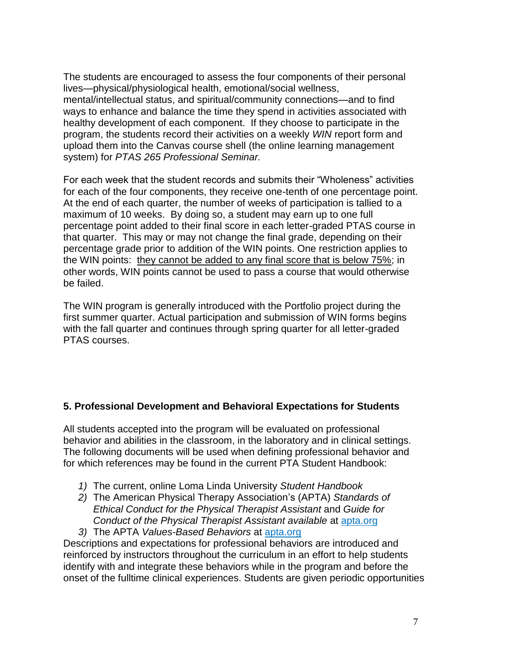The students are encouraged to assess the four components of their personal lives—physical/physiological health, emotional/social wellness, mental/intellectual status, and spiritual/community connections—and to find ways to enhance and balance the time they spend in activities associated with healthy development of each component. If they choose to participate in the program, the students record their activities on a weekly *WIN* report form and upload them into the Canvas course shell (the online learning management system) for *PTAS 265 Professional Seminar.* 

For each week that the student records and submits their "Wholeness" activities for each of the four components, they receive one-tenth of one percentage point. At the end of each quarter, the number of weeks of participation is tallied to a maximum of 10 weeks. By doing so, a student may earn up to one full percentage point added to their final score in each letter-graded PTAS course in that quarter. This may or may not change the final grade, depending on their percentage grade prior to addition of the WIN points. One restriction applies to the WIN points: they cannot be added to any final score that is below 75%; in other words, WIN points cannot be used to pass a course that would otherwise be failed.

The WIN program is generally introduced with the Portfolio project during the first summer quarter. Actual participation and submission of WIN forms begins with the fall quarter and continues through spring quarter for all letter-graded PTAS courses.

#### **5. Professional Development and Behavioral Expectations for Students**

All students accepted into the program will be evaluated on professional behavior and abilities in the classroom, in the laboratory and in clinical settings. The following documents will be used when defining professional behavior and for which references may be found in the current PTA Student Handbook:

- *1)* The current, online Loma Linda University *Student Handbook*
- *2)* The American Physical Therapy Association's (APTA) *Standards of Ethical Conduct for the Physical Therapist Assistant* and *Guide for Conduct of the Physical Therapist Assistant available* at apta.org
- *3)* The APTA *Values-Based Behaviors* at apta.org

Descriptions and expectations for professional behaviors are introduced and reinforced by instructors throughout the curriculum in an effort to help students identify with and integrate these behaviors while in the program and before the onset of the fulltime clinical experiences. Students are given periodic opportunities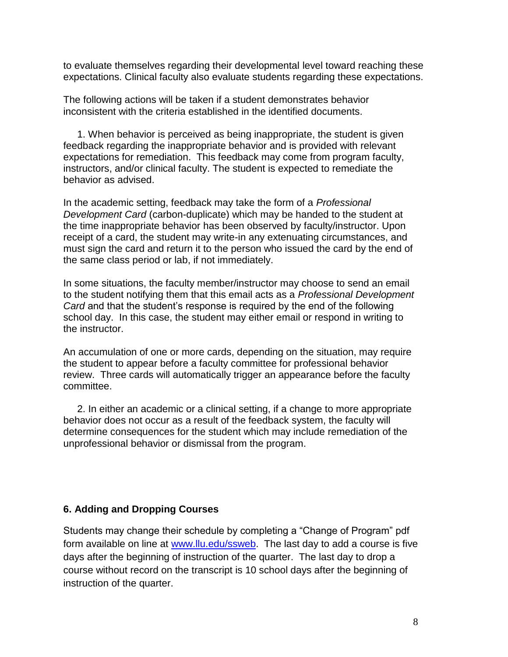to evaluate themselves regarding their developmental level toward reaching these expectations. Clinical faculty also evaluate students regarding these expectations.

The following actions will be taken if a student demonstrates behavior inconsistent with the criteria established in the identified documents.

 1. When behavior is perceived as being inappropriate, the student is given feedback regarding the inappropriate behavior and is provided with relevant expectations for remediation. This feedback may come from program faculty, instructors, and/or clinical faculty. The student is expected to remediate the behavior as advised.

In the academic setting, feedback may take the form of a *Professional Development Card* (carbon-duplicate) which may be handed to the student at the time inappropriate behavior has been observed by faculty/instructor. Upon receipt of a card, the student may write-in any extenuating circumstances, and must sign the card and return it to the person who issued the card by the end of the same class period or lab, if not immediately.

In some situations, the faculty member/instructor may choose to send an email to the student notifying them that this email acts as a *Professional Development Card* and that the student's response is required by the end of the following school day. In this case, the student may either email or respond in writing to the instructor.

An accumulation of one or more cards, depending on the situation, may require the student to appear before a faculty committee for professional behavior review. Three cards will automatically trigger an appearance before the faculty committee.

 2. In either an academic or a clinical setting, if a change to more appropriate behavior does not occur as a result of the feedback system, the faculty will determine consequences for the student which may include remediation of the unprofessional behavior or dismissal from the program.

#### **6. Adding and Dropping Courses**

Students may change their schedule by completing a "Change of Program" pdf form available on line at [www.llu.edu/ssweb.](http://www.llu.edu/ssweb) The last day to add a course is five days after the beginning of instruction of the quarter. The last day to drop a course without record on the transcript is 10 school days after the beginning of instruction of the quarter.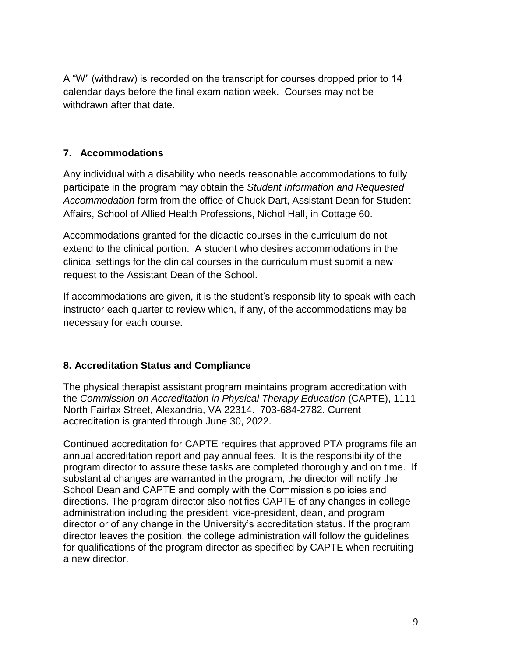A "W" (withdraw) is recorded on the transcript for courses dropped prior to 14 calendar days before the final examination week. Courses may not be withdrawn after that date.

## **7. Accommodations**

Any individual with a disability who needs reasonable accommodations to fully participate in the program may obtain the *Student Information and Requested Accommodation* form from the office of Chuck Dart, Assistant Dean for Student Affairs, School of Allied Health Professions, Nichol Hall, in Cottage 60.

Accommodations granted for the didactic courses in the curriculum do not extend to the clinical portion. A student who desires accommodations in the clinical settings for the clinical courses in the curriculum must submit a new request to the Assistant Dean of the School.

If accommodations are given, it is the student's responsibility to speak with each instructor each quarter to review which, if any, of the accommodations may be necessary for each course.

#### **8. Accreditation Status and Compliance**

The physical therapist assistant program maintains program accreditation with the *Commission on Accreditation in Physical Therapy Education* (CAPTE), 1111 North Fairfax Street, Alexandria, VA 22314. 703-684-2782. Current accreditation is granted through June 30, 2022.

Continued accreditation for CAPTE requires that approved PTA programs file an annual accreditation report and pay annual fees. It is the responsibility of the program director to assure these tasks are completed thoroughly and on time. If substantial changes are warranted in the program, the director will notify the School Dean and CAPTE and comply with the Commission's policies and directions. The program director also notifies CAPTE of any changes in college administration including the president, vice-president, dean, and program director or of any change in the University's accreditation status. If the program director leaves the position, the college administration will follow the guidelines for qualifications of the program director as specified by CAPTE when recruiting a new director.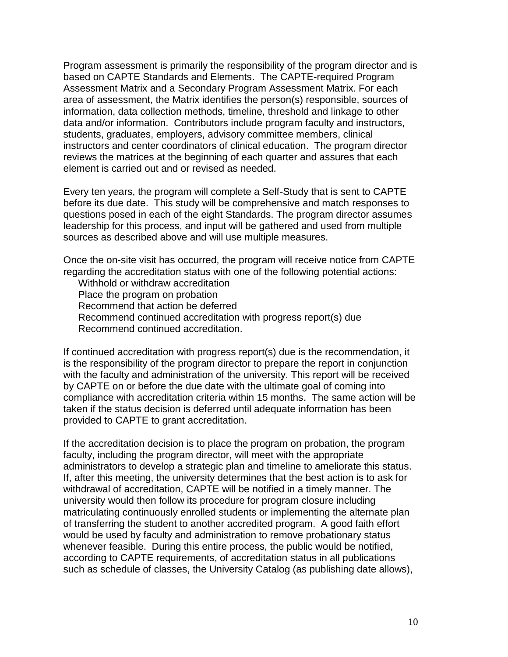Program assessment is primarily the responsibility of the program director and is based on CAPTE Standards and Elements. The CAPTE-required Program Assessment Matrix and a Secondary Program Assessment Matrix. For each area of assessment, the Matrix identifies the person(s) responsible, sources of information, data collection methods, timeline, threshold and linkage to other data and/or information. Contributors include program faculty and instructors, students, graduates, employers, advisory committee members, clinical instructors and center coordinators of clinical education. The program director reviews the matrices at the beginning of each quarter and assures that each element is carried out and or revised as needed.

Every ten years, the program will complete a Self-Study that is sent to CAPTE before its due date. This study will be comprehensive and match responses to questions posed in each of the eight Standards. The program director assumes leadership for this process, and input will be gathered and used from multiple sources as described above and will use multiple measures.

Once the on-site visit has occurred, the program will receive notice from CAPTE regarding the accreditation status with one of the following potential actions:

Withhold or withdraw accreditation

Place the program on probation

Recommend that action be deferred

Recommend continued accreditation with progress report(s) due

Recommend continued accreditation.

If continued accreditation with progress report(s) due is the recommendation, it is the responsibility of the program director to prepare the report in conjunction with the faculty and administration of the university. This report will be received by CAPTE on or before the due date with the ultimate goal of coming into compliance with accreditation criteria within 15 months. The same action will be taken if the status decision is deferred until adequate information has been provided to CAPTE to grant accreditation.

If the accreditation decision is to place the program on probation, the program faculty, including the program director, will meet with the appropriate administrators to develop a strategic plan and timeline to ameliorate this status. If, after this meeting, the university determines that the best action is to ask for withdrawal of accreditation, CAPTE will be notified in a timely manner. The university would then follow its procedure for program closure including matriculating continuously enrolled students or implementing the alternate plan of transferring the student to another accredited program. A good faith effort would be used by faculty and administration to remove probationary status whenever feasible. During this entire process, the public would be notified, according to CAPTE requirements, of accreditation status in all publications such as schedule of classes, the University Catalog (as publishing date allows),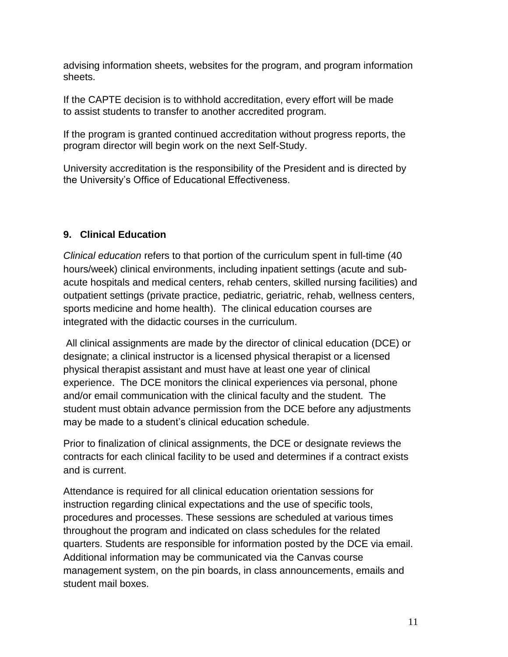advising information sheets, websites for the program, and program information sheets.

If the CAPTE decision is to withhold accreditation, every effort will be made to assist students to transfer to another accredited program.

If the program is granted continued accreditation without progress reports, the program director will begin work on the next Self-Study.

University accreditation is the responsibility of the President and is directed by the University's Office of Educational Effectiveness.

## **9. Clinical Education**

*Clinical education* refers to that portion of the curriculum spent in full-time (40 hours/week) clinical environments, including inpatient settings (acute and subacute hospitals and medical centers, rehab centers, skilled nursing facilities) and outpatient settings (private practice, pediatric, geriatric, rehab, wellness centers, sports medicine and home health). The clinical education courses are integrated with the didactic courses in the curriculum.

All clinical assignments are made by the director of clinical education (DCE) or designate; a clinical instructor is a licensed physical therapist or a licensed physical therapist assistant and must have at least one year of clinical experience. The DCE monitors the clinical experiences via personal, phone and/or email communication with the clinical faculty and the student. The student must obtain advance permission from the DCE before any adjustments may be made to a student's clinical education schedule.

Prior to finalization of clinical assignments, the DCE or designate reviews the contracts for each clinical facility to be used and determines if a contract exists and is current.

Attendance is required for all clinical education orientation sessions for instruction regarding clinical expectations and the use of specific tools, procedures and processes. These sessions are scheduled at various times throughout the program and indicated on class schedules for the related quarters. Students are responsible for information posted by the DCE via email. Additional information may be communicated via the Canvas course management system, on the pin boards, in class announcements, emails and student mail boxes.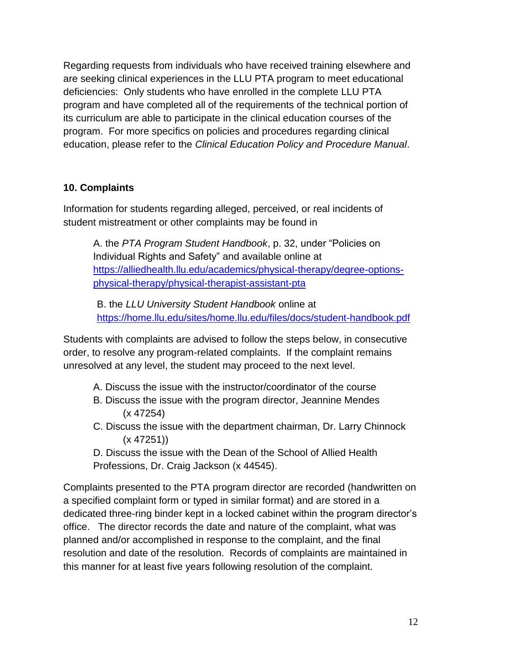Regarding requests from individuals who have received training elsewhere and are seeking clinical experiences in the LLU PTA program to meet educational deficiencies: Only students who have enrolled in the complete LLU PTA program and have completed all of the requirements of the technical portion of its curriculum are able to participate in the clinical education courses of the program. For more specifics on policies and procedures regarding clinical education, please refer to the *Clinical Education Policy and Procedure Manual*.

## **10. Complaints**

Information for students regarding alleged, perceived, or real incidents of student mistreatment or other complaints may be found in

A. the *PTA Program Student Handbook*, p. 32, under "Policies on Individual Rights and Safety" and available online at [https://alliedhealth.llu.edu/academics/physical-therapy/degree-options](https://alliedhealth.llu.edu/academics/physical-therapy/degree-options-physical-therapy/physical-therapist-assistant-pta)[physical-therapy/physical-therapist-assistant-pta](https://alliedhealth.llu.edu/academics/physical-therapy/degree-options-physical-therapy/physical-therapist-assistant-pta)

B. the *LLU University Student Handbook* online at <https://home.llu.edu/sites/home.llu.edu/files/docs/student-handbook.pdf>

Students with complaints are advised to follow the steps below, in consecutive order, to resolve any program-related complaints. If the complaint remains unresolved at any level, the student may proceed to the next level.

- A. Discuss the issue with the instructor/coordinator of the course
- B. Discuss the issue with the program director, Jeannine Mendes (x 47254)
- C. Discuss the issue with the department chairman, Dr. Larry Chinnock (x 47251))
- D. Discuss the issue with the Dean of the School of Allied Health Professions, Dr. Craig Jackson (x 44545).

Complaints presented to the PTA program director are recorded (handwritten on a specified complaint form or typed in similar format) and are stored in a dedicated three-ring binder kept in a locked cabinet within the program director's office. The director records the date and nature of the complaint, what was planned and/or accomplished in response to the complaint, and the final resolution and date of the resolution. Records of complaints are maintained in this manner for at least five years following resolution of the complaint.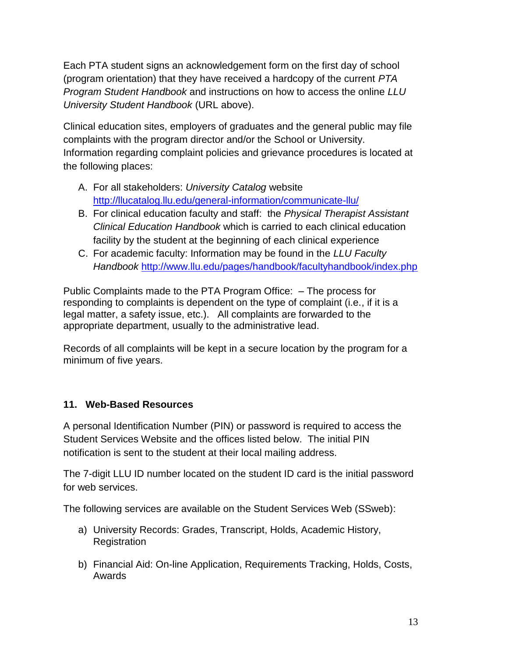Each PTA student signs an acknowledgement form on the first day of school (program orientation) that they have received a hardcopy of the current *PTA Program Student Handbook* and instructions on how to access the online *LLU University Student Handbook* (URL above).

Clinical education sites, employers of graduates and the general public may file complaints with the program director and/or the School or University. Information regarding complaint policies and grievance procedures is located at the following places:

- A. For all stakeholders: *University Catalog* website <http://llucatalog.llu.edu/general-information/communicate-llu/>
- B. For clinical education faculty and staff: the *Physical Therapist Assistant Clinical Education Handbook* which is carried to each clinical education facility by the student at the beginning of each clinical experience
- C. For academic faculty: Information may be found in the *LLU Faculty Handbook* <http://www.llu.edu/pages/handbook/facultyhandbook/index.php>

Public Complaints made to the PTA Program Office: – The process for responding to complaints is dependent on the type of complaint (i.e., if it is a legal matter, a safety issue, etc.). All complaints are forwarded to the appropriate department, usually to the administrative lead.

Records of all complaints will be kept in a secure location by the program for a minimum of five years.

## **11. Web-Based Resources**

A personal Identification Number (PIN) or password is required to access the Student Services Website and the offices listed below. The initial PIN notification is sent to the student at their local mailing address.

The 7-digit LLU ID number located on the student ID card is the initial password for web services.

The following services are available on the Student Services Web (SSweb):

- a) University Records: Grades, Transcript, Holds, Academic History, Registration
- b) Financial Aid: On-line Application, Requirements Tracking, Holds, Costs, Awards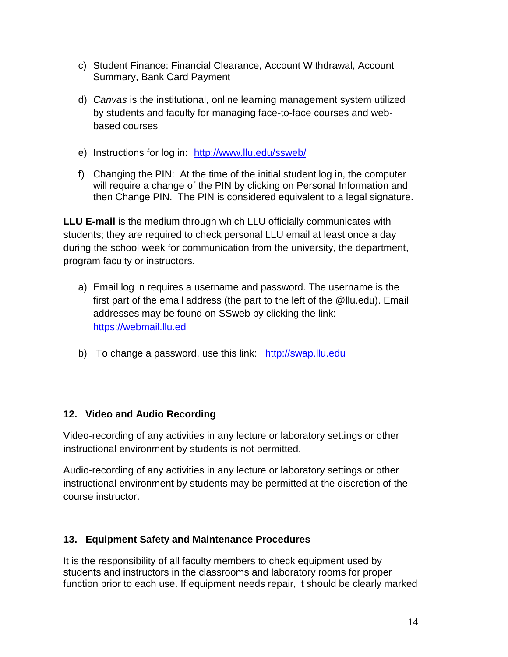- c) Student Finance: Financial Clearance, Account Withdrawal, Account Summary, Bank Card Payment
- d) *Canvas* is the institutional, online learning management system utilized by students and faculty for managing face-to-face courses and webbased courses
- e) Instructions for log in**:** <http://www.llu.edu/ssweb/>
- f) Changing the PIN: At the time of the initial student log in, the computer will require a change of the PIN by clicking on Personal Information and then Change PIN. The PIN is considered equivalent to a legal signature.

**LLU E-mail** is the medium through which LLU officially communicates with students; they are required to check personal LLU email at least once a day during the school week for communication from the university, the department, program faculty or instructors.

- a) Email log in requires a username and password. The username is the first part of the email address (the part to the left of the @llu.edu). Email addresses may be found on SSweb by clicking the link: [https://webmail.llu.ed](https://webmail.llu.ed/)
- b) To change a password, use this link: http://swap.llu.edu

## **12. Video and Audio Recording**

Video-recording of any activities in any lecture or laboratory settings or other instructional environment by students is not permitted.

Audio-recording of any activities in any lecture or laboratory settings or other instructional environment by students may be permitted at the discretion of the course instructor.

#### **13. Equipment Safety and Maintenance Procedures**

It is the responsibility of all faculty members to check equipment used by students and instructors in the classrooms and laboratory rooms for proper function prior to each use. If equipment needs repair, it should be clearly marked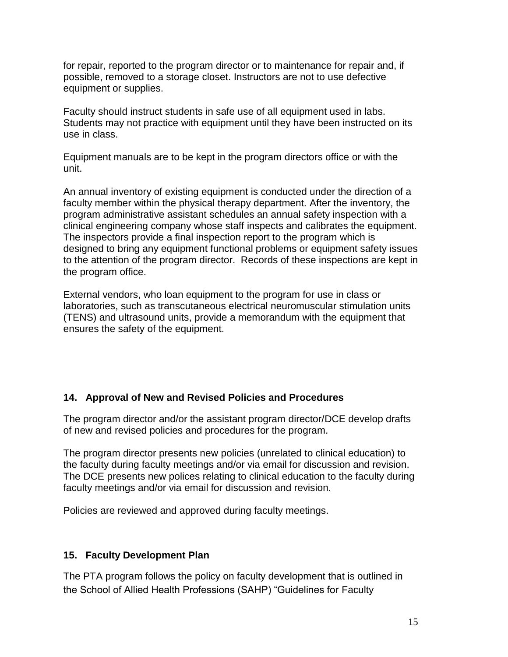for repair, reported to the program director or to maintenance for repair and, if possible, removed to a storage closet. Instructors are not to use defective equipment or supplies.

Faculty should instruct students in safe use of all equipment used in labs. Students may not practice with equipment until they have been instructed on its use in class.

Equipment manuals are to be kept in the program directors office or with the unit.

An annual inventory of existing equipment is conducted under the direction of a faculty member within the physical therapy department. After the inventory, the program administrative assistant schedules an annual safety inspection with a clinical engineering company whose staff inspects and calibrates the equipment. The inspectors provide a final inspection report to the program which is designed to bring any equipment functional problems or equipment safety issues to the attention of the program director. Records of these inspections are kept in the program office.

External vendors, who loan equipment to the program for use in class or laboratories, such as transcutaneous electrical neuromuscular stimulation units (TENS) and ultrasound units, provide a memorandum with the equipment that ensures the safety of the equipment.

#### **14. Approval of New and Revised Policies and Procedures**

The program director and/or the assistant program director/DCE develop drafts of new and revised policies and procedures for the program.

The program director presents new policies (unrelated to clinical education) to the faculty during faculty meetings and/or via email for discussion and revision. The DCE presents new polices relating to clinical education to the faculty during faculty meetings and/or via email for discussion and revision.

Policies are reviewed and approved during faculty meetings.

#### **15. Faculty Development Plan**

The PTA program follows the policy on faculty development that is outlined in the School of Allied Health Professions (SAHP) "Guidelines for Faculty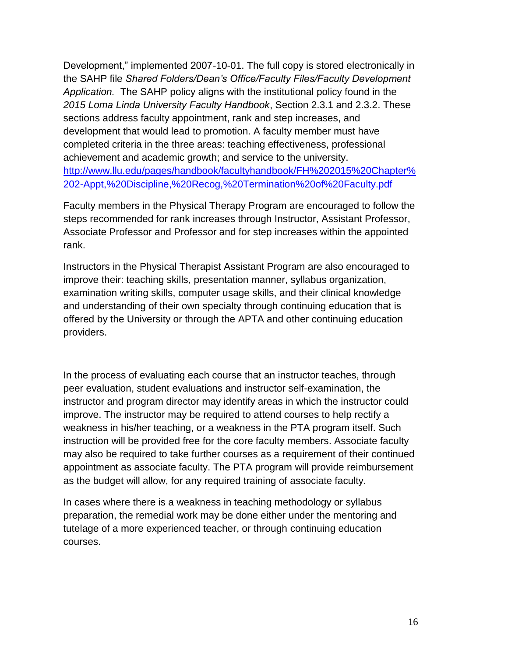Development," implemented 2007-10-01. The full copy is stored electronically in the SAHP file *Shared Folders/Dean's Office/Faculty Files/Faculty Development Application.* The SAHP policy aligns with the institutional policy found in the *2015 Loma Linda University Faculty Handbook*, Section 2.3.1 and 2.3.2. These sections address faculty appointment, rank and step increases, and development that would lead to promotion. A faculty member must have completed criteria in the three areas: teaching effectiveness, professional achievement and academic growth; and service to the university. [http://www.llu.edu/pages/handbook/facultyhandbook/FH%202015%20Chapter%](http://www.llu.edu/pages/handbook/facultyhandbook/FH%202015%20Chapter%202-Appt,%20Discipline,%20Recog,%20Termination%20of%20Faculty.pdf) [202-Appt,%20Discipline,%20Recog,%20Termination%20of%20Faculty.pdf](http://www.llu.edu/pages/handbook/facultyhandbook/FH%202015%20Chapter%202-Appt,%20Discipline,%20Recog,%20Termination%20of%20Faculty.pdf)

Faculty members in the Physical Therapy Program are encouraged to follow the steps recommended for rank increases through Instructor, Assistant Professor, Associate Professor and Professor and for step increases within the appointed rank.

Instructors in the Physical Therapist Assistant Program are also encouraged to improve their: teaching skills, presentation manner, syllabus organization, examination writing skills, computer usage skills, and their clinical knowledge and understanding of their own specialty through continuing education that is offered by the University or through the APTA and other continuing education providers.

In the process of evaluating each course that an instructor teaches, through peer evaluation, student evaluations and instructor self-examination, the instructor and program director may identify areas in which the instructor could improve. The instructor may be required to attend courses to help rectify a weakness in his/her teaching, or a weakness in the PTA program itself. Such instruction will be provided free for the core faculty members. Associate faculty may also be required to take further courses as a requirement of their continued appointment as associate faculty. The PTA program will provide reimbursement as the budget will allow, for any required training of associate faculty.

In cases where there is a weakness in teaching methodology or syllabus preparation, the remedial work may be done either under the mentoring and tutelage of a more experienced teacher, or through continuing education courses.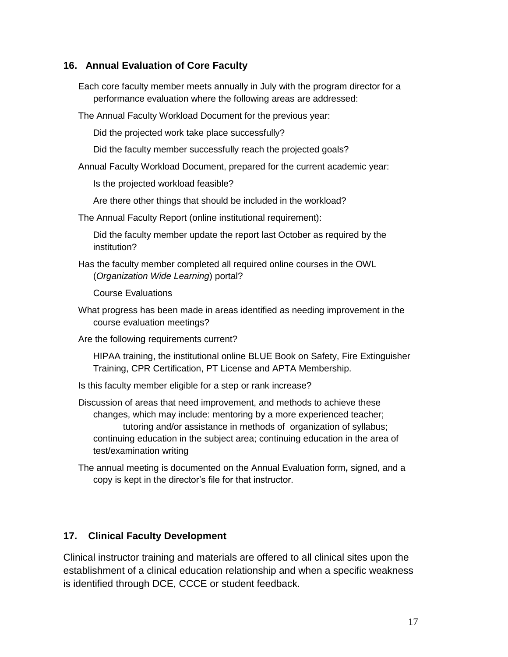#### **16. Annual Evaluation of Core Faculty**

Each core faculty member meets annually in July with the program director for a performance evaluation where the following areas are addressed:

The Annual Faculty Workload Document for the previous year:

Did the projected work take place successfully?

Did the faculty member successfully reach the projected goals?

Annual Faculty Workload Document, prepared for the current academic year:

Is the projected workload feasible?

Are there other things that should be included in the workload?

The Annual Faculty Report (online institutional requirement):

Did the faculty member update the report last October as required by the institution?

Has the faculty member completed all required online courses in the OWL (*Organization Wide Learning*) portal?

Course Evaluations

What progress has been made in areas identified as needing improvement in the course evaluation meetings?

Are the following requirements current?

HIPAA training, the institutional online BLUE Book on Safety, Fire Extinguisher Training, CPR Certification, PT License and APTA Membership.

Is this faculty member eligible for a step or rank increase?

Discussion of areas that need improvement, and methods to achieve these changes, which may include: mentoring by a more experienced teacher; tutoring and/or assistance in methods of organization of syllabus; continuing education in the subject area; continuing education in the area of test/examination writing

The annual meeting is documented on the Annual Evaluation form**,** signed, and a copy is kept in the director's file for that instructor.

#### **17. Clinical Faculty Development**

Clinical instructor training and materials are offered to all clinical sites upon the establishment of a clinical education relationship and when a specific weakness is identified through DCE, CCCE or student feedback.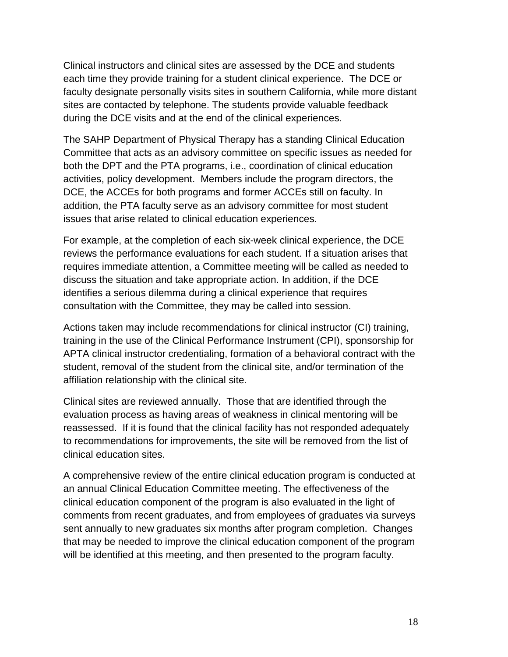Clinical instructors and clinical sites are assessed by the DCE and students each time they provide training for a student clinical experience. The DCE or faculty designate personally visits sites in southern California, while more distant sites are contacted by telephone. The students provide valuable feedback during the DCE visits and at the end of the clinical experiences.

The SAHP Department of Physical Therapy has a standing Clinical Education Committee that acts as an advisory committee on specific issues as needed for both the DPT and the PTA programs, i.e., coordination of clinical education activities, policy development. Members include the program directors, the DCE, the ACCEs for both programs and former ACCEs still on faculty. In addition, the PTA faculty serve as an advisory committee for most student issues that arise related to clinical education experiences.

For example, at the completion of each six-week clinical experience, the DCE reviews the performance evaluations for each student. If a situation arises that requires immediate attention, a Committee meeting will be called as needed to discuss the situation and take appropriate action. In addition, if the DCE identifies a serious dilemma during a clinical experience that requires consultation with the Committee, they may be called into session.

Actions taken may include recommendations for clinical instructor (CI) training, training in the use of the Clinical Performance Instrument (CPI), sponsorship for APTA clinical instructor credentialing, formation of a behavioral contract with the student, removal of the student from the clinical site, and/or termination of the affiliation relationship with the clinical site.

Clinical sites are reviewed annually. Those that are identified through the evaluation process as having areas of weakness in clinical mentoring will be reassessed. If it is found that the clinical facility has not responded adequately to recommendations for improvements, the site will be removed from the list of clinical education sites.

A comprehensive review of the entire clinical education program is conducted at an annual Clinical Education Committee meeting. The effectiveness of the clinical education component of the program is also evaluated in the light of comments from recent graduates, and from employees of graduates via surveys sent annually to new graduates six months after program completion. Changes that may be needed to improve the clinical education component of the program will be identified at this meeting, and then presented to the program faculty.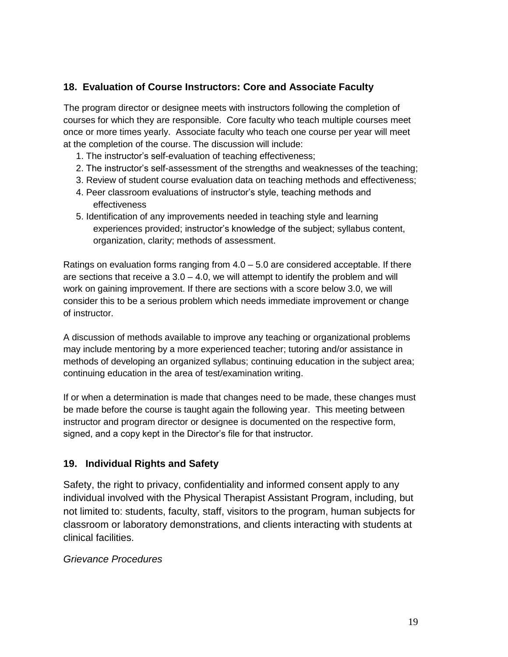#### **18. Evaluation of Course Instructors: Core and Associate Faculty**

 The program director or designee meets with instructors following the completion of courses for which they are responsible. Core faculty who teach multiple courses meet once or more times yearly. Associate faculty who teach one course per year will meet at the completion of the course. The discussion will include:

- 1. The instructor's self-evaluation of teaching effectiveness;
- 2. The instructor's self-assessment of the strengths and weaknesses of the teaching;
- 3. Review of student course evaluation data on teaching methods and effectiveness;
- 4. Peer classroom evaluations of instructor's style, teaching methods and effectiveness
- 5. Identification of any improvements needed in teaching style and learning experiences provided; instructor's knowledge of the subject; syllabus content, organization, clarity; methods of assessment.

Ratings on evaluation forms ranging from 4.0 – 5.0 are considered acceptable. If there are sections that receive a  $3.0 - 4.0$ , we will attempt to identify the problem and will work on gaining improvement. If there are sections with a score below 3.0, we will consider this to be a serious problem which needs immediate improvement or change of instructor.

A discussion of methods available to improve any teaching or organizational problems may include mentoring by a more experienced teacher; tutoring and/or assistance in methods of developing an organized syllabus; continuing education in the subject area; continuing education in the area of test/examination writing.

If or when a determination is made that changes need to be made, these changes must be made before the course is taught again the following year. This meeting between instructor and program director or designee is documented on the respective form, signed, and a copy kept in the Director's file for that instructor.

#### **19. Individual Rights and Safety**

Safety, the right to privacy, confidentiality and informed consent apply to any individual involved with the Physical Therapist Assistant Program, including, but not limited to: students, faculty, staff, visitors to the program, human subjects for classroom or laboratory demonstrations, and clients interacting with students at clinical facilities.

#### *Grievance Procedures*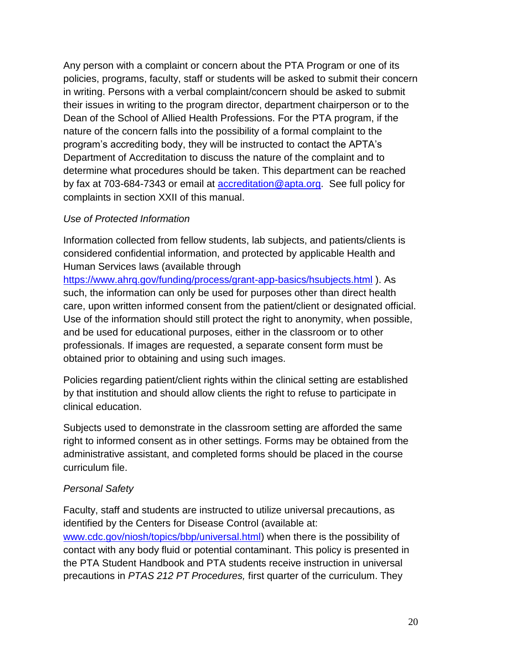Any person with a complaint or concern about the PTA Program or one of its policies, programs, faculty, staff or students will be asked to submit their concern in writing. Persons with a verbal complaint/concern should be asked to submit their issues in writing to the program director, department chairperson or to the Dean of the School of Allied Health Professions. For the PTA program, if the nature of the concern falls into the possibility of a formal complaint to the program's accrediting body, they will be instructed to contact the APTA's Department of Accreditation to discuss the nature of the complaint and to determine what procedures should be taken. This department can be reached by fax at 703-684-7343 or email at [accreditation@apta.org.](mailto:accreditation@apta.org) See full policy for complaints in section XXII of this manual.

#### *Use of Protected Information*

Information collected from fellow students, lab subjects, and patients/clients is considered confidential information, and protected by applicable Health and Human Services laws (available through

<https://www.ahrq.gov/funding/process/grant-app-basics/hsubjects.html> ). As such, the information can only be used for purposes other than direct health care, upon written informed consent from the patient/client or designated official. Use of the information should still protect the right to anonymity, when possible, and be used for educational purposes, either in the classroom or to other professionals. If images are requested, a separate consent form must be obtained prior to obtaining and using such images.

Policies regarding patient/client rights within the clinical setting are established by that institution and should allow clients the right to refuse to participate in clinical education.

Subjects used to demonstrate in the classroom setting are afforded the same right to informed consent as in other settings. Forms may be obtained from the administrative assistant, and completed forms should be placed in the course curriculum file.

#### *Personal Safety*

Faculty, staff and students are instructed to utilize universal precautions, as identified by the Centers for Disease Control (available at: [www.cdc.gov/niosh/topics/bbp/universal.html\)](http://www.cdc.gov/niosh/topics/bbp/universal.html) when there is the possibility of contact with any body fluid or potential contaminant. This policy is presented in the PTA Student Handbook and PTA students receive instruction in universal precautions in *PTAS 212 PT Procedures,* first quarter of the curriculum. They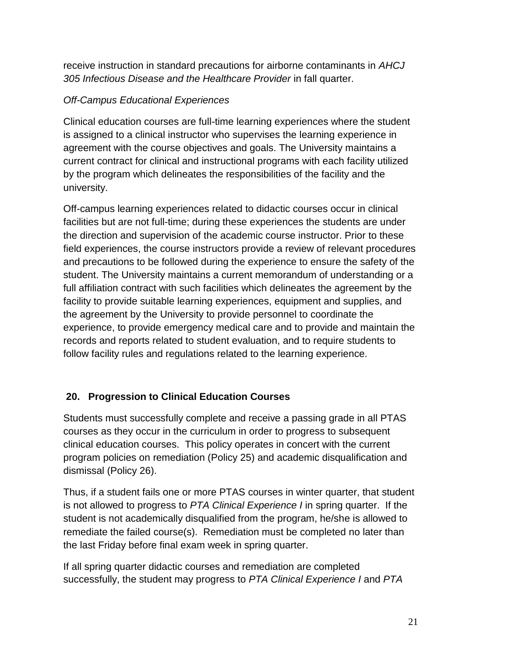receive instruction in standard precautions for airborne contaminants in *AHCJ 305 Infectious Disease and the Healthcare Provider* in fall quarter.

## *Off-Campus Educational Experiences*

Clinical education courses are full-time learning experiences where the student is assigned to a clinical instructor who supervises the learning experience in agreement with the course objectives and goals. The University maintains a current contract for clinical and instructional programs with each facility utilized by the program which delineates the responsibilities of the facility and the university.

Off-campus learning experiences related to didactic courses occur in clinical facilities but are not full-time; during these experiences the students are under the direction and supervision of the academic course instructor. Prior to these field experiences, the course instructors provide a review of relevant procedures and precautions to be followed during the experience to ensure the safety of the student. The University maintains a current memorandum of understanding or a full affiliation contract with such facilities which delineates the agreement by the facility to provide suitable learning experiences, equipment and supplies, and the agreement by the University to provide personnel to coordinate the experience, to provide emergency medical care and to provide and maintain the records and reports related to student evaluation, and to require students to follow facility rules and regulations related to the learning experience.

## **20. Progression to Clinical Education Courses**

Students must successfully complete and receive a passing grade in all PTAS courses as they occur in the curriculum in order to progress to subsequent clinical education courses. This policy operates in concert with the current program policies on remediation (Policy 25) and academic disqualification and dismissal (Policy 26).

Thus, if a student fails one or more PTAS courses in winter quarter, that student is not allowed to progress to *PTA Clinical Experience I* in spring quarter. If the student is not academically disqualified from the program, he/she is allowed to remediate the failed course(s). Remediation must be completed no later than the last Friday before final exam week in spring quarter.

If all spring quarter didactic courses and remediation are completed successfully, the student may progress to *PTA Clinical Experience I* and *PTA*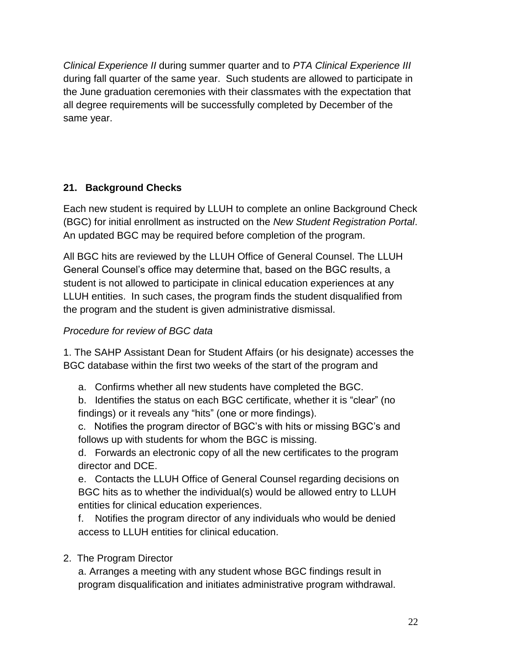*Clinical Experience II* during summer quarter and to *PTA Clinical Experience III* during fall quarter of the same year. Such students are allowed to participate in the June graduation ceremonies with their classmates with the expectation that all degree requirements will be successfully completed by December of the same year.

## **21. Background Checks**

Each new student is required by LLUH to complete an online Background Check (BGC) for initial enrollment as instructed on the *New Student Registration Portal*. An updated BGC may be required before completion of the program.

All BGC hits are reviewed by the LLUH Office of General Counsel. The LLUH General Counsel's office may determine that, based on the BGC results, a student is not allowed to participate in clinical education experiences at any LLUH entities. In such cases, the program finds the student disqualified from the program and the student is given administrative dismissal.

## *Procedure for review of BGC data*

1. The SAHP Assistant Dean for Student Affairs (or his designate) accesses the BGC database within the first two weeks of the start of the program and

- a. Confirms whether all new students have completed the BGC.
- b. Identifies the status on each BGC certificate, whether it is "clear" (no findings) or it reveals any "hits" (one or more findings).

c. Notifies the program director of BGC's with hits or missing BGC's and follows up with students for whom the BGC is missing.

d. Forwards an electronic copy of all the new certificates to the program director and DCE.

e. Contacts the LLUH Office of General Counsel regarding decisions on BGC hits as to whether the individual(s) would be allowed entry to LLUH entities for clinical education experiences.

f. Notifies the program director of any individuals who would be denied access to LLUH entities for clinical education.

2. The Program Director

a. Arranges a meeting with any student whose BGC findings result in program disqualification and initiates administrative program withdrawal.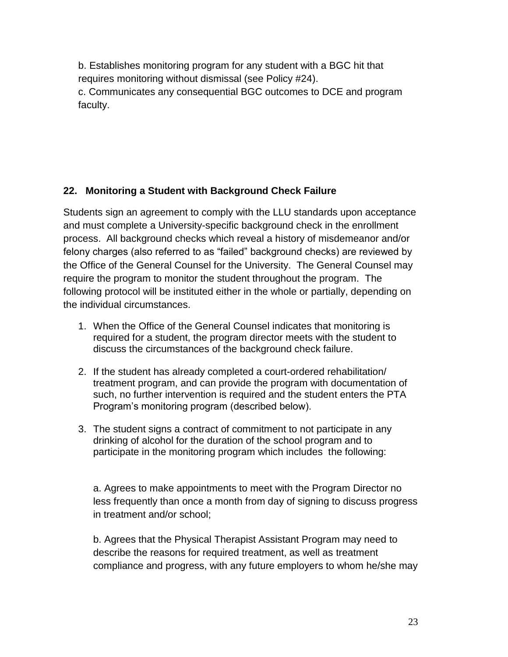b. Establishes monitoring program for any student with a BGC hit that requires monitoring without dismissal (see Policy #24). c. Communicates any consequential BGC outcomes to DCE and program faculty.

## **22. Monitoring a Student with Background Check Failure**

Students sign an agreement to comply with the LLU standards upon acceptance and must complete a University-specific background check in the enrollment process. All background checks which reveal a history of misdemeanor and/or felony charges (also referred to as "failed" background checks) are reviewed by the Office of the General Counsel for the University. The General Counsel may require the program to monitor the student throughout the program. The following protocol will be instituted either in the whole or partially, depending on the individual circumstances.

- 1. When the Office of the General Counsel indicates that monitoring is required for a student, the program director meets with the student to discuss the circumstances of the background check failure.
- 2. If the student has already completed a court-ordered rehabilitation/ treatment program, and can provide the program with documentation of such, no further intervention is required and the student enters the PTA Program's monitoring program (described below).
- 3. The student signs a contract of commitment to not participate in any drinking of alcohol for the duration of the school program and to participate in the monitoring program which includes the following:

a. Agrees to make appointments to meet with the Program Director no less frequently than once a month from day of signing to discuss progress in treatment and/or school;

b. Agrees that the Physical Therapist Assistant Program may need to describe the reasons for required treatment, as well as treatment compliance and progress, with any future employers to whom he/she may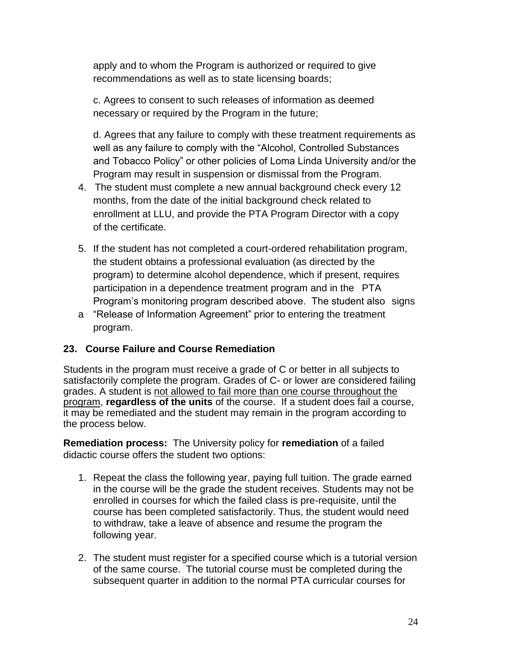apply and to whom the Program is authorized or required to give recommendations as well as to state licensing boards;

c. Agrees to consent to such releases of information as deemed necessary or required by the Program in the future;

d. Agrees that any failure to comply with these treatment requirements as well as any failure to comply with the "Alcohol, Controlled Substances and Tobacco Policy" or other policies of Loma Linda University and/or the Program may result in suspension or dismissal from the Program.

- 4. The student must complete a new annual background check every 12 months, from the date of the initial background check related to enrollment at LLU, and provide the PTA Program Director with a copy of the certificate.
- 5. If the student has not completed a court-ordered rehabilitation program, the student obtains a professional evaluation (as directed by the program) to determine alcohol dependence, which if present, requires participation in a dependence treatment program and in the PTA Program's monitoring program described above. The student also signs
- a "Release of Information Agreement" prior to entering the treatment program.

## **23. Course Failure and Course Remediation**

Students in the program must receive a grade of C or better in all subjects to satisfactorily complete the program. Grades of C- or lower are considered failing grades. A student is not allowed to fail more than one course throughout the program, **regardless of the units** of the course. If a student does fail a course, it may be remediated and the student may remain in the program according to the process below.

**Remediation process:** The University policy for **remediation** of a failed didactic course offers the student two options:

- 1. Repeat the class the following year, paying full tuition. The grade earned in the course will be the grade the student receives. Students may not be enrolled in courses for which the failed class is pre-requisite, until the course has been completed satisfactorily. Thus, the student would need to withdraw, take a leave of absence and resume the program the following year.
- 2. The student must register for a specified course which is a tutorial version of the same course. The tutorial course must be completed during the subsequent quarter in addition to the normal PTA curricular courses for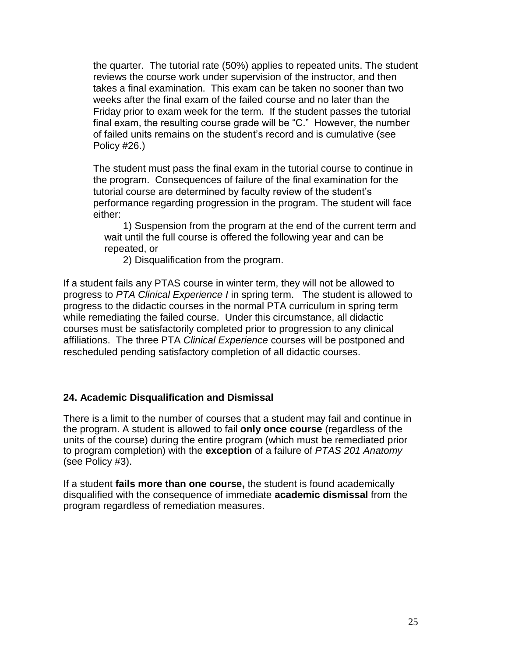the quarter. The tutorial rate (50%) applies to repeated units. The student reviews the course work under supervision of the instructor, and then takes a final examination. This exam can be taken no sooner than two weeks after the final exam of the failed course and no later than the Friday prior to exam week for the term. If the student passes the tutorial final exam, the resulting course grade will be "C." However, the number of failed units remains on the student's record and is cumulative (see Policy #26.)

The student must pass the final exam in the tutorial course to continue in the program. Consequences of failure of the final examination for the tutorial course are determined by faculty review of the student's performance regarding progression in the program. The student will face either:

1) Suspension from the program at the end of the current term and wait until the full course is offered the following year and can be repeated, or

2) Disqualification from the program.

If a student fails any PTAS course in winter term, they will not be allowed to progress to *PTA Clinical Experience I* in spring term. The student is allowed to progress to the didactic courses in the normal PTA curriculum in spring term while remediating the failed course. Under this circumstance, all didactic courses must be satisfactorily completed prior to progression to any clinical affiliations. The three PTA *Clinical Experience* courses will be postponed and rescheduled pending satisfactory completion of all didactic courses.

#### **24. Academic Disqualification and Dismissal**

There is a limit to the number of courses that a student may fail and continue in the program. A student is allowed to fail **only once course** (regardless of the units of the course) during the entire program (which must be remediated prior to program completion) with the **exception** of a failure of *PTAS 201 Anatomy* (see Policy #3).

If a student **fails more than one course,** the student is found academically disqualified with the consequence of immediate **academic dismissal** from the program regardless of remediation measures.